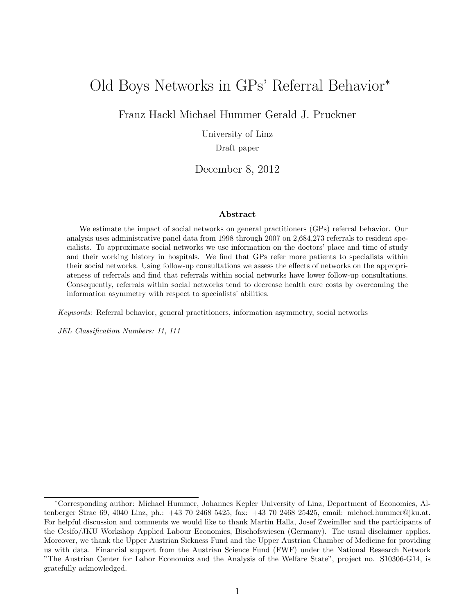## <span id="page-0-0"></span>Old Boys Networks in GPs' Referral Behavior<sup>∗</sup>

Franz Hackl Michael Hummer Gerald J. Pruckner

University of Linz

Draft paper

December 8, 2012

#### Abstract

We estimate the impact of social networks on general practitioners (GPs) referral behavior. Our analysis uses administrative panel data from 1998 through 2007 on 2,684,273 referrals to resident specialists. To approximate social networks we use information on the doctors' place and time of study and their working history in hospitals. We find that GPs refer more patients to specialists within their social networks. Using follow-up consultations we assess the effects of networks on the appropriateness of referrals and find that referrals within social networks have lower follow-up consultations. Consequently, referrals within social networks tend to decrease health care costs by overcoming the information asymmetry with respect to specialists' abilities.

Keywords: Referral behavior, general practitioners, information asymmetry, social networks

JEL Classification Numbers: I1, I11

<sup>∗</sup>Corresponding author: Michael Hummer, Johannes Kepler University of Linz, Department of Economics, Altenberger Strae 69, 4040 Linz, ph.: +43 70 2468 5425, fax: +43 70 2468 25425, email: michael.hummer@jku.at. For helpful discussion and comments we would like to thank Martin Halla, Josef Zweimller and the participants of the Cesifo/JKU Workshop Applied Labour Economics, Bischofswiesen (Germany). The usual disclaimer applies. Moreover, we thank the Upper Austrian Sickness Fund and the Upper Austrian Chamber of Medicine for providing us with data. Financial support from the Austrian Science Fund (FWF) under the National Research Network "The Austrian Center for Labor Economics and the Analysis of the Welfare State", project no. S10306-G14, is gratefully acknowledged.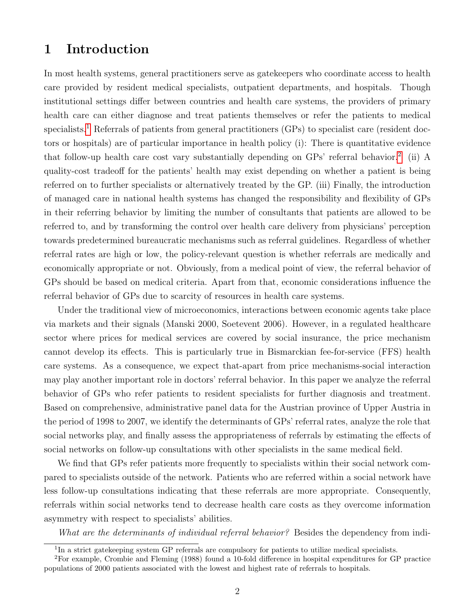### 1 Introduction

In most health systems, general practitioners serve as gatekeepers who coordinate access to health care provided by resident medical specialists, outpatient departments, and hospitals. Though institutional settings differ between countries and health care systems, the providers of primary health care can either diagnose and treat patients themselves or refer the patients to medical specialists.<sup>[1](#page-0-0)</sup> Referrals of patients from general practitioners (GPs) to specialist care (resident doctors or hospitals) are of particular importance in health policy (i): There is quantitative evidence that follow-up health care cost vary substantially depending on GPs' referral behavior.<sup>[2](#page-0-0)</sup> (ii) A quality-cost tradeoff for the patients' health may exist depending on whether a patient is being referred on to further specialists or alternatively treated by the GP. (iii) Finally, the introduction of managed care in national health systems has changed the responsibility and flexibility of GPs in their referring behavior by limiting the number of consultants that patients are allowed to be referred to, and by transforming the control over health care delivery from physicians' perception towards predetermined bureaucratic mechanisms such as referral guidelines. Regardless of whether referral rates are high or low, the policy-relevant question is whether referrals are medically and economically appropriate or not. Obviously, from a medical point of view, the referral behavior of GPs should be based on medical criteria. Apart from that, economic considerations influence the referral behavior of GPs due to scarcity of resources in health care systems.

Under the traditional view of microeconomics, interactions between economic agents take place via markets and their signals (Manski 2000, Soetevent 2006). However, in a regulated healthcare sector where prices for medical services are covered by social insurance, the price mechanism cannot develop its effects. This is particularly true in Bismarckian fee-for-service (FFS) health care systems. As a consequence, we expect that-apart from price mechanisms-social interaction may play another important role in doctors' referral behavior. In this paper we analyze the referral behavior of GPs who refer patients to resident specialists for further diagnosis and treatment. Based on comprehensive, administrative panel data for the Austrian province of Upper Austria in the period of 1998 to 2007, we identify the determinants of GPs' referral rates, analyze the role that social networks play, and finally assess the appropriateness of referrals by estimating the effects of social networks on follow-up consultations with other specialists in the same medical field.

We find that GPs refer patients more frequently to specialists within their social network compared to specialists outside of the network. Patients who are referred within a social network have less follow-up consultations indicating that these referrals are more appropriate. Consequently, referrals within social networks tend to decrease health care costs as they overcome information asymmetry with respect to specialists' abilities.

What are the determinants of individual referral behavior? Besides the dependency from indi-

<sup>&</sup>lt;sup>1</sup>In a strict gatekeeping system GP referrals are compulsory for patients to utilize medical specialists.

<sup>2</sup>For example, Crombie and Fleming (1988) found a 10-fold difference in hospital expenditures for GP practice populations of 2000 patients associated with the lowest and highest rate of referrals to hospitals.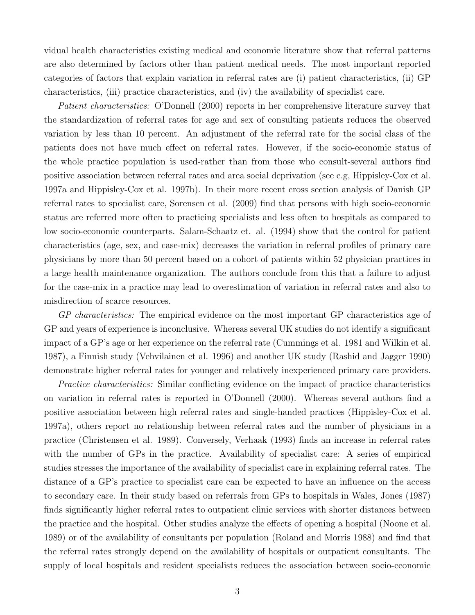vidual health characteristics existing medical and economic literature show that referral patterns are also determined by factors other than patient medical needs. The most important reported categories of factors that explain variation in referral rates are (i) patient characteristics, (ii) GP characteristics, (iii) practice characteristics, and (iv) the availability of specialist care.

Patient characteristics: O'Donnell (2000) reports in her comprehensive literature survey that the standardization of referral rates for age and sex of consulting patients reduces the observed variation by less than 10 percent. An adjustment of the referral rate for the social class of the patients does not have much effect on referral rates. However, if the socio-economic status of the whole practice population is used-rather than from those who consult-several authors find positive association between referral rates and area social deprivation (see e.g, Hippisley-Cox et al. 1997a and Hippisley-Cox et al. 1997b). In their more recent cross section analysis of Danish GP referral rates to specialist care, Sorensen et al. (2009) find that persons with high socio-economic status are referred more often to practicing specialists and less often to hospitals as compared to low socio-economic counterparts. Salam-Schaatz et. al. (1994) show that the control for patient characteristics (age, sex, and case-mix) decreases the variation in referral profiles of primary care physicians by more than 50 percent based on a cohort of patients within 52 physician practices in a large health maintenance organization. The authors conclude from this that a failure to adjust for the case-mix in a practice may lead to overestimation of variation in referral rates and also to misdirection of scarce resources.

GP characteristics: The empirical evidence on the most important GP characteristics age of GP and years of experience is inconclusive. Whereas several UK studies do not identify a significant impact of a GP's age or her experience on the referral rate (Cummings et al. 1981 and Wilkin et al. 1987), a Finnish study (Vehvilainen et al. 1996) and another UK study (Rashid and Jagger 1990) demonstrate higher referral rates for younger and relatively inexperienced primary care providers.

Practice characteristics: Similar conflicting evidence on the impact of practice characteristics on variation in referral rates is reported in O'Donnell (2000). Whereas several authors find a positive association between high referral rates and single-handed practices (Hippisley-Cox et al. 1997a), others report no relationship between referral rates and the number of physicians in a practice (Christensen et al. 1989). Conversely, Verhaak (1993) finds an increase in referral rates with the number of GPs in the practice. Availability of specialist care: A series of empirical studies stresses the importance of the availability of specialist care in explaining referral rates. The distance of a GP's practice to specialist care can be expected to have an influence on the access to secondary care. In their study based on referrals from GPs to hospitals in Wales, Jones (1987) finds significantly higher referral rates to outpatient clinic services with shorter distances between the practice and the hospital. Other studies analyze the effects of opening a hospital (Noone et al. 1989) or of the availability of consultants per population (Roland and Morris 1988) and find that the referral rates strongly depend on the availability of hospitals or outpatient consultants. The supply of local hospitals and resident specialists reduces the association between socio-economic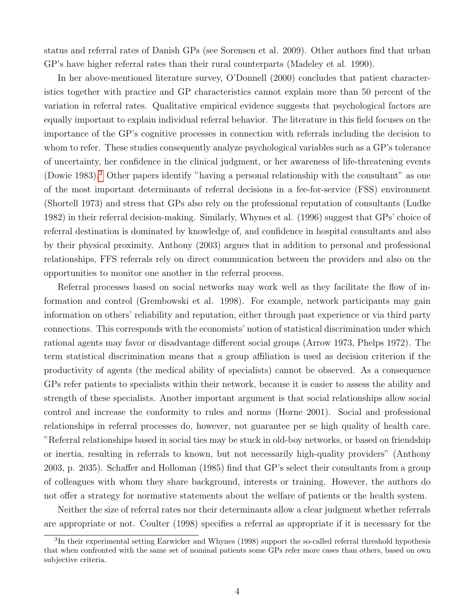status and referral rates of Danish GPs (see Sorensen et al. 2009). Other authors find that urban GP's have higher referral rates than their rural counterparts (Madeley et al. 1990).

In her above-mentioned literature survey, O'Donnell (2000) concludes that patient characteristics together with practice and GP characteristics cannot explain more than 50 percent of the variation in referral rates. Qualitative empirical evidence suggests that psychological factors are equally important to explain individual referral behavior. The literature in this field focuses on the importance of the GP's cognitive processes in connection with referrals including the decision to whom to refer. These studies consequently analyze psychological variables such as a GP's tolerance of uncertainty, her confidence in the clinical judgment, or her awareness of life-threatening events (Dowie 1983).[3](#page-0-0) Other papers identify "having a personal relationship with the consultant" as one of the most important determinants of referral decisions in a fee-for-service (FSS) environment (Shortell 1973) and stress that GPs also rely on the professional reputation of consultants (Ludke 1982) in their referral decision-making. Similarly, Whynes et al. (1996) suggest that GPs' choice of referral destination is dominated by knowledge of, and confidence in hospital consultants and also by their physical proximity. Anthony (2003) argues that in addition to personal and professional relationships, FFS referrals rely on direct communication between the providers and also on the opportunities to monitor one another in the referral process.

Referral processes based on social networks may work well as they facilitate the flow of information and control (Grembowski et al. 1998). For example, network participants may gain information on others' reliability and reputation, either through past experience or via third party connections. This corresponds with the economists' notion of statistical discrimination under which rational agents may favor or disadvantage different social groups (Arrow 1973, Phelps 1972). The term statistical discrimination means that a group affiliation is used as decision criterion if the productivity of agents (the medical ability of specialists) cannot be observed. As a consequence GPs refer patients to specialists within their network, because it is easier to assess the ability and strength of these specialists. Another important argument is that social relationships allow social control and increase the conformity to rules and norms (Horne 2001). Social and professional relationships in referral processes do, however, not guarantee per se high quality of health care. "Referral relationships based in social ties may be stuck in old-boy networks, or based on friendship or inertia, resulting in referrals to known, but not necessarily high-quality providers" (Anthony 2003, p. 2035). Schaffer and Holloman (1985) find that GP's select their consultants from a group of colleagues with whom they share background, interests or training. However, the authors do not offer a strategy for normative statements about the welfare of patients or the health system.

Neither the size of referral rates nor their determinants allow a clear judgment whether referrals are appropriate or not. Coulter (1998) specifies a referral as appropriate if it is necessary for the

<sup>&</sup>lt;sup>3</sup>In their experimental setting Earwicker and Whynes (1998) support the so-called referral threshold hypothesis that when confronted with the same set of nominal patients some GPs refer more cases than others, based on own subjective criteria.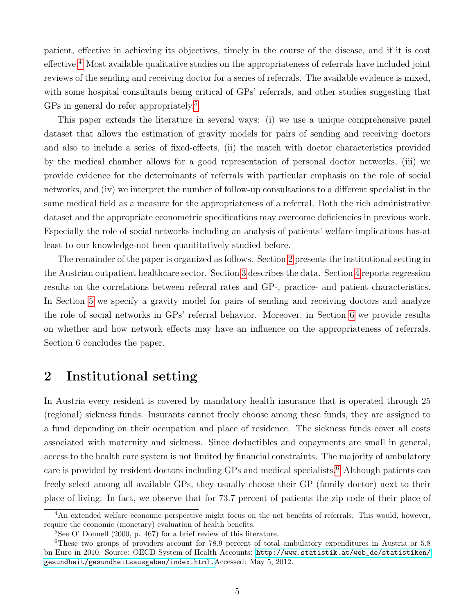patient, effective in achieving its objectives, timely in the course of the disease, and if it is cost effective.[4](#page-0-0) Most available qualitative studies on the appropriateness of referrals have included joint reviews of the sending and receiving doctor for a series of referrals. The available evidence is mixed, with some hospital consultants being critical of GPs' referrals, and other studies suggesting that GPs in general do refer appropriately.<sup>[5](#page-0-0)</sup>

This paper extends the literature in several ways: (i) we use a unique comprehensive panel dataset that allows the estimation of gravity models for pairs of sending and receiving doctors and also to include a series of fixed-effects, (ii) the match with doctor characteristics provided by the medical chamber allows for a good representation of personal doctor networks, (iii) we provide evidence for the determinants of referrals with particular emphasis on the role of social networks, and (iv) we interpret the number of follow-up consultations to a different specialist in the same medical field as a measure for the appropriateness of a referral. Both the rich administrative dataset and the appropriate econometric specifications may overcome deficiencies in previous work. Especially the role of social networks including an analysis of patients' welfare implications has-at least to our knowledge-not been quantitatively studied before.

The remainder of the paper is organized as follows. Section [2](#page-4-0) presents the institutional setting in the Austrian outpatient healthcare sector. Section [3](#page-5-0) describes the data. Section [4](#page-6-0) reports regression results on the correlations between referral rates and GP-, practice- and patient characteristics. In Section [5](#page-9-0) we specify a gravity model for pairs of sending and receiving doctors and analyze the role of social networks in GPs' referral behavior. Moreover, in Section [6](#page-11-0) we provide results on whether and how network effects may have an influence on the appropriateness of referrals. Section 6 concludes the paper.

### <span id="page-4-0"></span>2 Institutional setting

In Austria every resident is covered by mandatory health insurance that is operated through 25 (regional) sickness funds. Insurants cannot freely choose among these funds, they are assigned to a fund depending on their occupation and place of residence. The sickness funds cover all costs associated with maternity and sickness. Since deductibles and copayments are small in general, access to the health care system is not limited by financial constraints. The majority of ambulatory care is provided by resident doctors including GPs and medical specialists.<sup>[6](#page-0-0)</sup> Although patients can freely select among all available GPs, they usually choose their GP (family doctor) next to their place of living. In fact, we observe that for 73.7 percent of patients the zip code of their place of

<sup>&</sup>lt;sup>4</sup>An extended welfare economic perspective might focus on the net benefits of referrals. This would, however, require the economic (monetary) evaluation of health benefits.

 ${}^{5}$ See O' Donnell (2000, p. 467) for a brief review of this literature.

<sup>&</sup>lt;sup>6</sup>These two groups of providers account for 78.9 percent of total ambulatory expenditures in Austria or 5.8 bn Euro in 2010. Source: OECD System of Health Accounts: [http://www.statistik.at/web\\_de/statistiken/](http://www.statistik.at/web_de/statistiken/gesundheit/gesundheitsausgaben/index.html.) [gesundheit/gesundheitsausgaben/index.html.](http://www.statistik.at/web_de/statistiken/gesundheit/gesundheitsausgaben/index.html.)Accessed: May 5, 2012.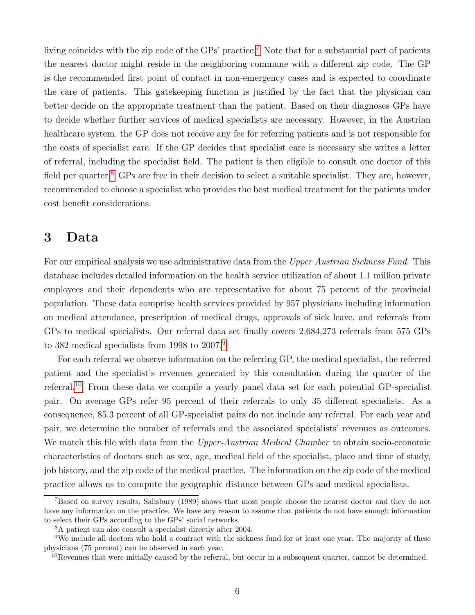living coincides with the zip code of the GPs' practice.<sup>[7](#page-0-0)</sup> Note that for a substantial part of patients the nearest doctor might reside in the neighboring commune with a different zip code. The GP is the recommended first point of contact in non-emergency cases and is expected to coordinate the care of patients. This gatekeeping function is justified by the fact that the physician can better decide on the appropriate treatment than the patient. Based on their diagnoses GPs have to decide whether further services of medical specialists are necessary. However, in the Austrian healthcare system, the GP does not receive any fee for referring patients and is not responsible for the costs of specialist care. If the GP decides that specialist care is necessary she writes a letter of referral, including the specialist field. The patient is then eligible to consult one doctor of this field per quarter.<sup>[8](#page-0-0)</sup> GPs are free in their decision to select a suitable specialist. They are, however, recommended to choose a specialist who provides the best medical treatment for the patients under cost benefit considerations.

### <span id="page-5-0"></span>3 Data

For our empirical analysis we use administrative data from the Upper Austrian Sickness Fund. This database includes detailed information on the health service utilization of about 1.1 million private employees and their dependents who are representative for about 75 percent of the provincial population. These data comprise health services provided by 957 physicians including information on medical attendance, prescription of medical drugs, approvals of sick leave, and referrals from GPs to medical specialists. Our referral data set finally covers 2,684,273 referrals from 575 GPs to 382 medical specialists from 1[9](#page-0-0)98 to 2007.<sup>9</sup>

For each referral we observe information on the referring GP, the medical specialist, the referred patient and the specialist's revenues generated by this consultation during the quarter of the referral.[10](#page-0-0) From these data we compile a yearly panel data set for each potential GP-specialist pair. On average GPs refer 95 percent of their referrals to only 35 different specialists. As a consequence, 85.3 percent of all GP-specialist pairs do not include any referral. For each year and pair, we determine the number of referrals and the associated specialists' revenues as outcomes. We match this file with data from the *Upper-Austrian Medical Chamber* to obtain socio-economic characteristics of doctors such as sex, age, medical field of the specialist, place and time of study, job history, and the zip code of the medical practice. The information on the zip code of the medical practice allows us to compute the geographic distance between GPs and medical specialists.

<sup>7</sup>Based on survey results, Salisbury (1989) shows that most people choose the nearest doctor and they do not have any information on the practice. We have any reason to assume that patients do not have enough information to select their GPs according to the GPs' social networks.

<sup>8</sup>A patient can also consult a specialist directly after 2004.

<sup>9</sup>We include all doctors who hold a contract with the sickness fund for at least one year. The majority of these physicians (75 percent) can be observed in each year.

 $10$ Revenues that were initially caused by the referral, but occur in a subsequent quarter, cannot be determined.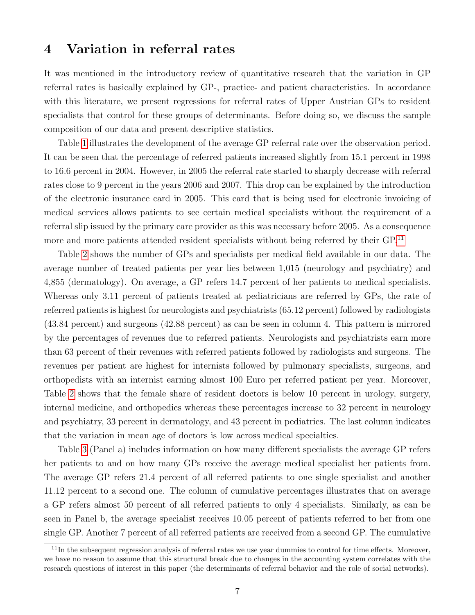### <span id="page-6-0"></span>4 Variation in referral rates

It was mentioned in the introductory review of quantitative research that the variation in GP referral rates is basically explained by GP-, practice- and patient characteristics. In accordance with this literature, we present regressions for referral rates of Upper Austrian GPs to resident specialists that control for these groups of determinants. Before doing so, we discuss the sample composition of our data and present descriptive statistics.

Table [1](#page-17-0) illustrates the development of the average GP referral rate over the observation period. It can be seen that the percentage of referred patients increased slightly from 15.1 percent in 1998 to 16.6 percent in 2004. However, in 2005 the referral rate started to sharply decrease with referral rates close to 9 percent in the years 2006 and 2007. This drop can be explained by the introduction of the electronic insurance card in 2005. This card that is being used for electronic invoicing of medical services allows patients to see certain medical specialists without the requirement of a referral slip issued by the primary care provider as this was necessary before 2005. As a consequence more and more patients attended resident specialists without being referred by their GP.<sup>[11](#page-0-0)</sup>

Table [2](#page-18-0) shows the number of GPs and specialists per medical field available in our data. The average number of treated patients per year lies between 1,015 (neurology and psychiatry) and 4,855 (dermatology). On average, a GP refers 14.7 percent of her patients to medical specialists. Whereas only 3.11 percent of patients treated at pediatricians are referred by GPs, the rate of referred patients is highest for neurologists and psychiatrists (65.12 percent) followed by radiologists (43.84 percent) and surgeons (42.88 percent) as can be seen in column 4. This pattern is mirrored by the percentages of revenues due to referred patients. Neurologists and psychiatrists earn more than 63 percent of their revenues with referred patients followed by radiologists and surgeons. The revenues per patient are highest for internists followed by pulmonary specialists, surgeons, and orthopedists with an internist earning almost 100 Euro per referred patient per year. Moreover, Table [2](#page-18-0) shows that the female share of resident doctors is below 10 percent in urology, surgery, internal medicine, and orthopedics whereas these percentages increase to 32 percent in neurology and psychiatry, 33 percent in dermatology, and 43 percent in pediatrics. The last column indicates that the variation in mean age of doctors is low across medical specialties.

Table [3](#page-19-0) (Panel a) includes information on how many different specialists the average GP refers her patients to and on how many GPs receive the average medical specialist her patients from. The average GP refers 21.4 percent of all referred patients to one single specialist and another 11.12 percent to a second one. The column of cumulative percentages illustrates that on average a GP refers almost 50 percent of all referred patients to only 4 specialists. Similarly, as can be seen in Panel b, the average specialist receives 10.05 percent of patients referred to her from one single GP. Another 7 percent of all referred patients are received from a second GP. The cumulative

 $11$ In the subsequent regression analysis of referral rates we use year dummies to control for time effects. Moreover, we have no reason to assume that this structural break due to changes in the accounting system correlates with the research questions of interest in this paper (the determinants of referral behavior and the role of social networks).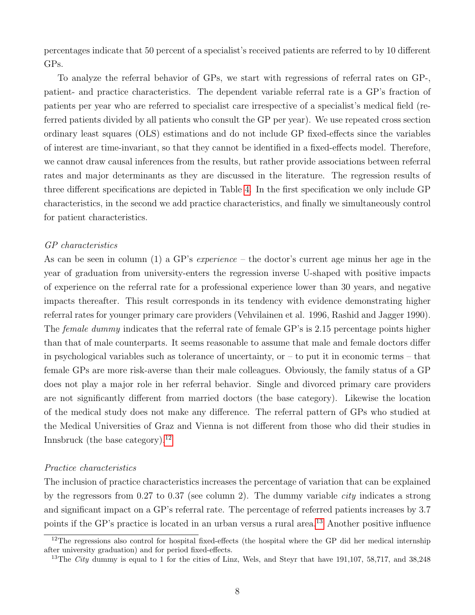percentages indicate that 50 percent of a specialist's received patients are referred to by 10 different GPs.

To analyze the referral behavior of GPs, we start with regressions of referral rates on GP-, patient- and practice characteristics. The dependent variable referral rate is a GP's fraction of patients per year who are referred to specialist care irrespective of a specialist's medical field (referred patients divided by all patients who consult the GP per year). We use repeated cross section ordinary least squares (OLS) estimations and do not include GP fixed-effects since the variables of interest are time-invariant, so that they cannot be identified in a fixed-effects model. Therefore, we cannot draw causal inferences from the results, but rather provide associations between referral rates and major determinants as they are discussed in the literature. The regression results of three different specifications are depicted in Table [4.](#page-20-0) In the first specification we only include GP characteristics, in the second we add practice characteristics, and finally we simultaneously control for patient characteristics.

#### GP characteristics

As can be seen in column (1) a GP's *experience* – the doctor's current age minus her age in the year of graduation from university-enters the regression inverse U-shaped with positive impacts of experience on the referral rate for a professional experience lower than 30 years, and negative impacts thereafter. This result corresponds in its tendency with evidence demonstrating higher referral rates for younger primary care providers (Vehvilainen et al. 1996, Rashid and Jagger 1990). The *female dummy* indicates that the referral rate of female GP's is 2.15 percentage points higher than that of male counterparts. It seems reasonable to assume that male and female doctors differ in psychological variables such as tolerance of uncertainty, or  $-$  to put it in economic terms  $-$  that female GPs are more risk-averse than their male colleagues. Obviously, the family status of a GP does not play a major role in her referral behavior. Single and divorced primary care providers are not significantly different from married doctors (the base category). Likewise the location of the medical study does not make any difference. The referral pattern of GPs who studied at the Medical Universities of Graz and Vienna is not different from those who did their studies in Innsbruck (the base category).<sup>[12](#page-0-0)</sup>

#### Practice characteristics

The inclusion of practice characteristics increases the percentage of variation that can be explained by the regressors from 0.27 to 0.37 (see column 2). The dummy variable city indicates a strong and significant impact on a GP's referral rate. The percentage of referred patients increases by 3.7 points if the GP's practice is located in an urban versus a rural area.<sup>[13](#page-0-0)</sup> Another positive influence

 $12$ The regressions also control for hospital fixed-effects (the hospital where the GP did her medical internship after university graduation) and for period fixed-effects.

<sup>&</sup>lt;sup>13</sup>The *City* dummy is equal to 1 for the cities of Linz, Wels, and Steyr that have 191,107, 58,717, and 38,248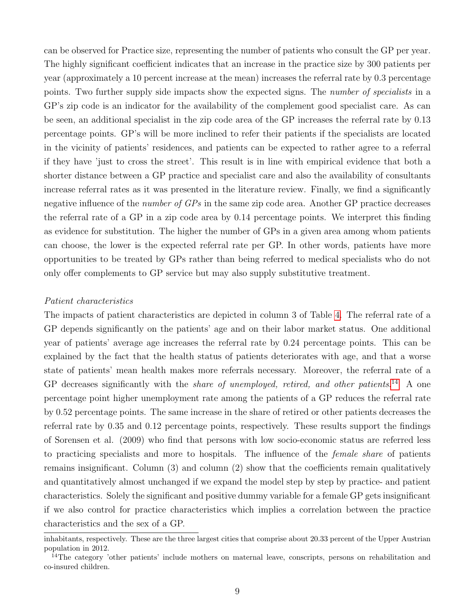can be observed for Practice size, representing the number of patients who consult the GP per year. The highly significant coefficient indicates that an increase in the practice size by 300 patients per year (approximately a 10 percent increase at the mean) increases the referral rate by 0.3 percentage points. Two further supply side impacts show the expected signs. The *number of specialists* in a GP's zip code is an indicator for the availability of the complement good specialist care. As can be seen, an additional specialist in the zip code area of the GP increases the referral rate by 0.13 percentage points. GP's will be more inclined to refer their patients if the specialists are located in the vicinity of patients' residences, and patients can be expected to rather agree to a referral if they have 'just to cross the street'. This result is in line with empirical evidence that both a shorter distance between a GP practice and specialist care and also the availability of consultants increase referral rates as it was presented in the literature review. Finally, we find a significantly negative influence of the *number of*  $GP_s$  in the same zip code area. Another GP practice decreases the referral rate of a GP in a zip code area by 0.14 percentage points. We interpret this finding as evidence for substitution. The higher the number of GPs in a given area among whom patients can choose, the lower is the expected referral rate per GP. In other words, patients have more opportunities to be treated by GPs rather than being referred to medical specialists who do not only offer complements to GP service but may also supply substitutive treatment.

#### Patient characteristics

The impacts of patient characteristics are depicted in column 3 of Table [4.](#page-20-0) The referral rate of a GP depends significantly on the patients' age and on their labor market status. One additional year of patients' average age increases the referral rate by 0.24 percentage points. This can be explained by the fact that the health status of patients deteriorates with age, and that a worse state of patients' mean health makes more referrals necessary. Moreover, the referral rate of a GP decreases significantly with the *share of unemployed, retired, and other patients*.<sup>[14](#page-0-0)</sup> A one percentage point higher unemployment rate among the patients of a GP reduces the referral rate by 0.52 percentage points. The same increase in the share of retired or other patients decreases the referral rate by 0.35 and 0.12 percentage points, respectively. These results support the findings of Sorensen et al. (2009) who find that persons with low socio-economic status are referred less to practicing specialists and more to hospitals. The influence of the female share of patients remains insignificant. Column (3) and column (2) show that the coefficients remain qualitatively and quantitatively almost unchanged if we expand the model step by step by practice- and patient characteristics. Solely the significant and positive dummy variable for a female GP gets insignificant if we also control for practice characteristics which implies a correlation between the practice characteristics and the sex of a GP.

inhabitants, respectively. These are the three largest cities that comprise about 20.33 percent of the Upper Austrian population in 2012.

<sup>&</sup>lt;sup>14</sup>The category 'other patients' include mothers on maternal leave, conscripts, persons on rehabilitation and co-insured children.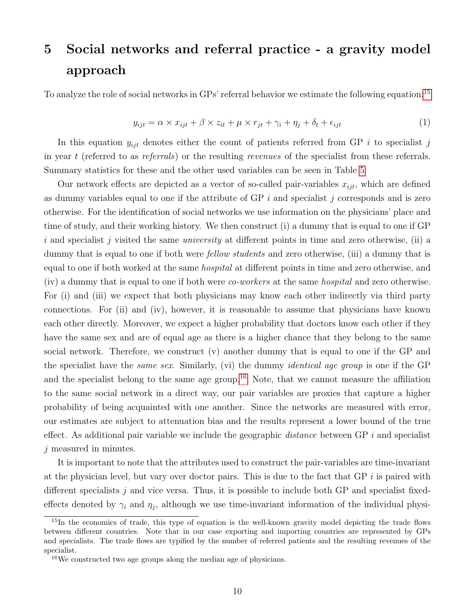# <span id="page-9-0"></span>5 Social networks and referral practice - a gravity model approach

To analyze the role of social networks in GPs' referral behavior we estimate the following equation:<sup>[15](#page-0-0)</sup>

<span id="page-9-1"></span>
$$
y_{ijt} = \alpha \times x_{ijt} + \beta \times z_{it} + \mu \times r_{jt} + \gamma_i + \eta_j + \delta_t + \epsilon_{ijt}
$$
\n
$$
\tag{1}
$$

In this equation  $y_{ijt}$  denotes either the count of patients referred from GP i to specialist j in year t (referred to as referrals) or the resulting revenues of the specialist from these referrals. Summary statistics for these and the other used variables can be seen in Table [5.](#page-21-0)

Our network effects are depicted as a vector of so-called pair-variables  $x_{ijt}$ , which are defined as dummy variables equal to one if the attribute of  $\overline{GP}$  i and specialist j corresponds and is zero otherwise. For the identification of social networks we use information on the physicians' place and time of study, and their working history. We then construct (i) a dummy that is equal to one if GP i and specialist j visited the same *university* at different points in time and zero otherwise, (ii) a dummy that is equal to one if both were *fellow students* and zero otherwise, (iii) a dummy that is equal to one if both worked at the same hospital at different points in time and zero otherwise, and (iv) a dummy that is equal to one if both were co-workers at the same hospital and zero otherwise. For (i) and (iii) we expect that both physicians may know each other indirectly via third party connections. For (ii) and (iv), however, it is reasonable to assume that physicians have known each other directly. Moreover, we expect a higher probability that doctors know each other if they have the same sex and are of equal age as there is a higher chance that they belong to the same social network. Therefore, we construct  $(v)$  another dummy that is equal to one if the GP and the specialist have the same sex. Similarly, (vi) the dummy identical age group is one if the GP and the specialist belong to the same age group.<sup>[16](#page-0-0)</sup> Note, that we cannot measure the affiliation to the same social network in a direct way, our pair variables are proxies that capture a higher probability of being acquainted with one another. Since the networks are measured with error, our estimates are subject to attenuation bias and the results represent a lower bound of the true effect. As additional pair variable we include the geographic *distance* between GP  $i$  and specialist j measured in minutes.

It is important to note that the attributes used to construct the pair-variables are time-invariant at the physician level, but vary over doctor pairs. This is due to the fact that GP  $i$  is paired with different specialists  $j$  and vice versa. Thus, it is possible to include both GP and specialist fixedeffects denoted by  $\gamma_i$  and  $\eta_j$ , although we use time-invariant information of the individual physi-

<sup>&</sup>lt;sup>15</sup>In the economics of trade, this type of equation is the well-known gravity model depicting the trade flows between different countries. Note that in our case exporting and importing countries are represented by GPs and specialists. The trade flows are typified by the number of referred patients and the resulting revenues of the specialist.

<sup>16</sup>We constructed two age groups along the median age of physicians.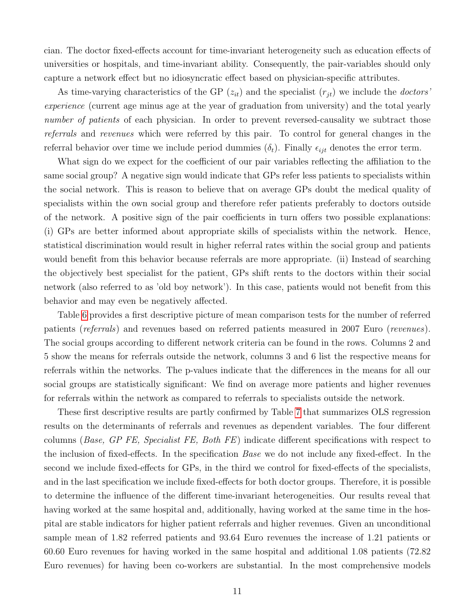cian. The doctor fixed-effects account for time-invariant heterogeneity such as education effects of universities or hospitals, and time-invariant ability. Consequently, the pair-variables should only capture a network effect but no idiosyncratic effect based on physician-specific attributes.

As time-varying characteristics of the GP  $(z_{it})$  and the specialist  $(r_{jt})$  we include the *doctors* experience (current age minus age at the year of graduation from university) and the total yearly number of patients of each physician. In order to prevent reversed-causality we subtract those referrals and revenues which were referred by this pair. To control for general changes in the referral behavior over time we include period dummies  $(\delta_t)$ . Finally  $\epsilon_{ijt}$  denotes the error term.

What sign do we expect for the coefficient of our pair variables reflecting the affiliation to the same social group? A negative sign would indicate that GPs refer less patients to specialists within the social network. This is reason to believe that on average GPs doubt the medical quality of specialists within the own social group and therefore refer patients preferably to doctors outside of the network. A positive sign of the pair coefficients in turn offers two possible explanations: (i) GPs are better informed about appropriate skills of specialists within the network. Hence, statistical discrimination would result in higher referral rates within the social group and patients would benefit from this behavior because referrals are more appropriate. (ii) Instead of searching the objectively best specialist for the patient, GPs shift rents to the doctors within their social network (also referred to as 'old boy network'). In this case, patients would not benefit from this behavior and may even be negatively affected.

Table [6](#page-22-0) provides a first descriptive picture of mean comparison tests for the number of referred patients (referrals) and revenues based on referred patients measured in 2007 Euro (revenues). The social groups according to different network criteria can be found in the rows. Columns 2 and 5 show the means for referrals outside the network, columns 3 and 6 list the respective means for referrals within the networks. The p-values indicate that the differences in the means for all our social groups are statistically significant: We find on average more patients and higher revenues for referrals within the network as compared to referrals to specialists outside the network.

These first descriptive results are partly confirmed by Table [7](#page-23-0) that summarizes OLS regression results on the determinants of referrals and revenues as dependent variables. The four different columns (Base, GP FE, Specialist FE, Both FE) indicate different specifications with respect to the inclusion of fixed-effects. In the specification Base we do not include any fixed-effect. In the second we include fixed-effects for GPs, in the third we control for fixed-effects of the specialists, and in the last specification we include fixed-effects for both doctor groups. Therefore, it is possible to determine the influence of the different time-invariant heterogeneities. Our results reveal that having worked at the same hospital and, additionally, having worked at the same time in the hospital are stable indicators for higher patient referrals and higher revenues. Given an unconditional sample mean of 1.82 referred patients and 93.64 Euro revenues the increase of 1.21 patients or 60.60 Euro revenues for having worked in the same hospital and additional 1.08 patients (72.82 Euro revenues) for having been co-workers are substantial. In the most comprehensive models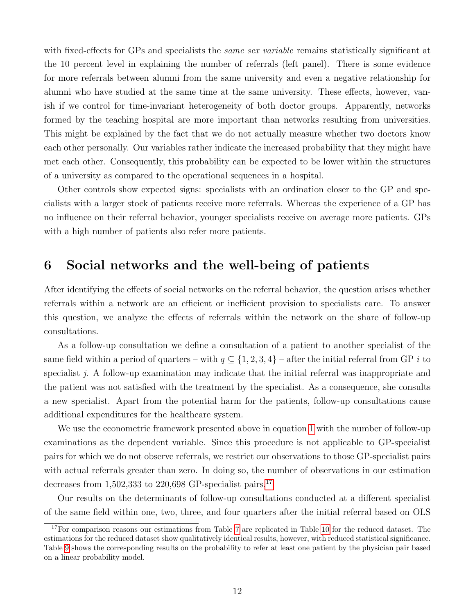with fixed-effects for GPs and specialists the *same sex variable* remains statistically significant at the 10 percent level in explaining the number of referrals (left panel). There is some evidence for more referrals between alumni from the same university and even a negative relationship for alumni who have studied at the same time at the same university. These effects, however, vanish if we control for time-invariant heterogeneity of both doctor groups. Apparently, networks formed by the teaching hospital are more important than networks resulting from universities. This might be explained by the fact that we do not actually measure whether two doctors know each other personally. Our variables rather indicate the increased probability that they might have met each other. Consequently, this probability can be expected to be lower within the structures of a university as compared to the operational sequences in a hospital.

Other controls show expected signs: specialists with an ordination closer to the GP and specialists with a larger stock of patients receive more referrals. Whereas the experience of a GP has no influence on their referral behavior, younger specialists receive on average more patients. GPs with a high number of patients also refer more patients.

### <span id="page-11-0"></span>6 Social networks and the well-being of patients

After identifying the effects of social networks on the referral behavior, the question arises whether referrals within a network are an efficient or inefficient provision to specialists care. To answer this question, we analyze the effects of referrals within the network on the share of follow-up consultations.

As a follow-up consultation we define a consultation of a patient to another specialist of the same field within a period of quarters – with  $q \subseteq \{1, 2, 3, 4\}$  – after the initial referral from GP i to specialist  $j$ . A follow-up examination may indicate that the initial referral was inappropriate and the patient was not satisfied with the treatment by the specialist. As a consequence, she consults a new specialist. Apart from the potential harm for the patients, follow-up consultations cause additional expenditures for the healthcare system.

We use the econometric framework presented above in equation [1](#page-9-1) with the number of follow-up examinations as the dependent variable. Since this procedure is not applicable to GP-specialist pairs for which we do not observe referrals, we restrict our observations to those GP-specialist pairs with actual referrals greater than zero. In doing so, the number of observations in our estimation decreases from  $1,502,333$  to  $220,698$  GP-specialist pairs.<sup>[17](#page-0-0)</sup>

Our results on the determinants of follow-up consultations conducted at a different specialist of the same field within one, two, three, and four quarters after the initial referral based on OLS

 $17$ For comparison reasons our estimations from Table [7](#page-23-0) are replicated in Table [10](#page-26-0) for the reduced dataset. The estimations for the reduced dataset show qualitatively identical results, however, with reduced statistical significance. Table [9](#page-25-0) shows the corresponding results on the probability to refer at least one patient by the physician pair based on a linear probability model.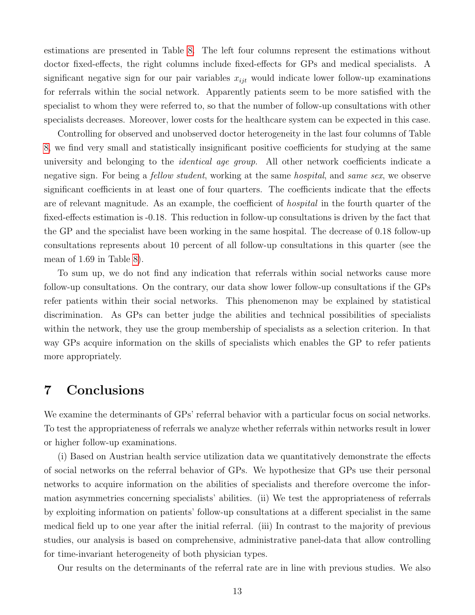estimations are presented in Table [8.](#page-24-0) The left four columns represent the estimations without doctor fixed-effects, the right columns include fixed-effects for GPs and medical specialists. A significant negative sign for our pair variables  $x_{ijt}$  would indicate lower follow-up examinations for referrals within the social network. Apparently patients seem to be more satisfied with the specialist to whom they were referred to, so that the number of follow-up consultations with other specialists decreases. Moreover, lower costs for the healthcare system can be expected in this case.

Controlling for observed and unobserved doctor heterogeneity in the last four columns of Table [8,](#page-24-0) we find very small and statistically insignificant positive coefficients for studying at the same university and belonging to the *identical age group*. All other network coefficients indicate a negative sign. For being a *fellow student*, working at the same *hospital*, and *same sex*, we observe significant coefficients in at least one of four quarters. The coefficients indicate that the effects are of relevant magnitude. As an example, the coefficient of hospital in the fourth quarter of the fixed-effects estimation is -0.18. This reduction in follow-up consultations is driven by the fact that the GP and the specialist have been working in the same hospital. The decrease of 0.18 follow-up consultations represents about 10 percent of all follow-up consultations in this quarter (see the mean of 1.69 in Table [8\)](#page-24-0).

To sum up, we do not find any indication that referrals within social networks cause more follow-up consultations. On the contrary, our data show lower follow-up consultations if the GPs refer patients within their social networks. This phenomenon may be explained by statistical discrimination. As GPs can better judge the abilities and technical possibilities of specialists within the network, they use the group membership of specialists as a selection criterion. In that way GPs acquire information on the skills of specialists which enables the GP to refer patients more appropriately.

### 7 Conclusions

We examine the determinants of GPs' referral behavior with a particular focus on social networks. To test the appropriateness of referrals we analyze whether referrals within networks result in lower or higher follow-up examinations.

(i) Based on Austrian health service utilization data we quantitatively demonstrate the effects of social networks on the referral behavior of GPs. We hypothesize that GPs use their personal networks to acquire information on the abilities of specialists and therefore overcome the information asymmetries concerning specialists' abilities. (ii) We test the appropriateness of referrals by exploiting information on patients' follow-up consultations at a different specialist in the same medical field up to one year after the initial referral. (iii) In contrast to the majority of previous studies, our analysis is based on comprehensive, administrative panel-data that allow controlling for time-invariant heterogeneity of both physician types.

Our results on the determinants of the referral rate are in line with previous studies. We also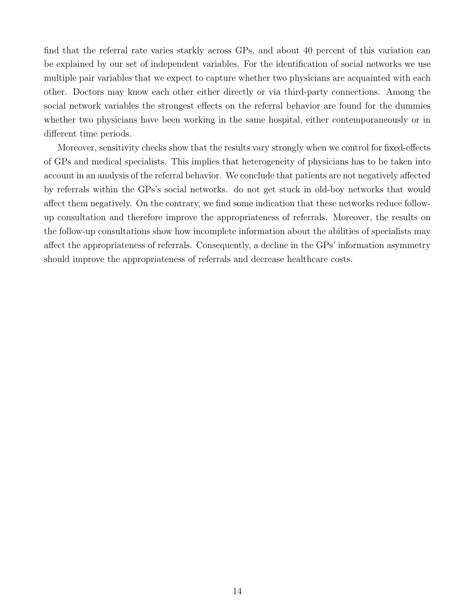find that the referral rate varies starkly across GPs, and about 40 percent of this variation can be explained by our set of independent variables. For the identification of social networks we use multiple pair variables that we expect to capture whether two physicians are acquainted with each other. Doctors may know each other either directly or via third-party connections. Among the social network variables the strongest effects on the referral behavior are found for the dummies whether two physicians have been working in the same hospital, either contemporaneously or in different time periods.

Moreover, sensitivity checks show that the results vary strongly when we control for fixed-effects of GPs and medical specialists. This implies that heterogeneity of physicians has to be taken into account in an analysis of the referral behavior. We conclude that patients are not negatively affected by referrals within the GPs's social networks. do not get stuck in old-boy networks that would affect them negatively. On the contrary, we find some indication that these networks reduce followup consultation and therefore improve the appropriateness of referrals. Moreover, the results on the follow-up consultations show how incomplete information about the abilities of specialists may affect the appropriateness of referrals. Consequently, a decline in the GPs' information asymmetry should improve the appropriateness of referrals and decrease healthcare costs.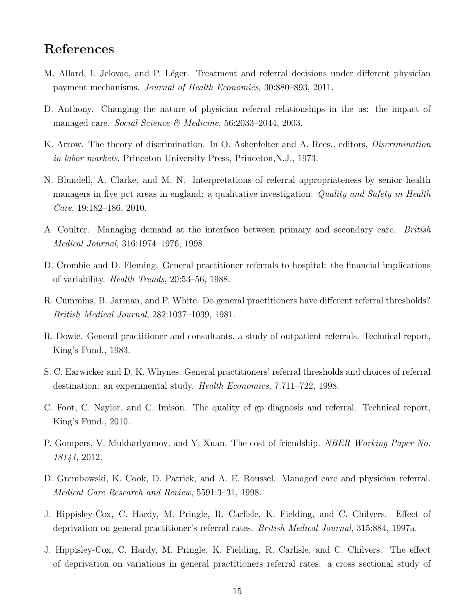### References

- M. Allard, I. Jelovac, and P. Léger. Treatment and referral decisions under different physician payment mechanisms. Journal of Health Economics, 30:880–893, 2011.
- D. Anthony. Changing the nature of physician referral relationships in the us: the impact of managed care. Social Science & Medicine, 56:2033-2044, 2003.
- K. Arrow. The theory of discrimination. In O. Ashenfelter and A. Rees., editors, Discrimination in labor markets. Princeton University Press, Princeton,N.J., 1973.
- N. Blundell, A. Clarke, and M. N. Interpretations of referral appropriateness by senior health managers in five pct areas in england: a qualitative investigation. Quality and Safety in Health Care, 19:182–186, 2010.
- A. Coulter. Managing demand at the interface between primary and secondary care. British Medical Journal, 316:1974–1976, 1998.
- D. Crombie and D. Fleming. General practitioner referrals to hospital: the financial implications of variability. Health Trends, 20:53–56, 1988.
- R. Cummins, B. Jarman, and P. White. Do general practitioners have different referral thresholds? British Medical Journal, 282:1037–1039, 1981.
- R. Dowie. General practitioner and consultants. a study of outpatient referrals. Technical report, King's Fund., 1983.
- S. C. Earwicker and D. K. Whynes. General practitioners' referral thresholds and choices of referral destination: an experimental study. Health Economics, 7:711–722, 1998.
- C. Foot, C. Naylor, and C. Imison. The quality of gp diagnosis and referral. Technical report, King's Fund., 2010.
- P. Gompers, V. Mukharlyamov, and Y. Xuan. The cost of friendship. *NBER Working Paper No.* 18141, 2012.
- D. Grembowski, K. Cook, D. Patrick, and A. E. Roussel. Managed care and physician referral. Medical Care Research and Review, 5591:3–31, 1998.
- J. Hippisley-Cox, C. Hardy, M. Pringle, R. Carlisle, K. Fielding, and C. Chilvers. Effect of deprivation on general practitioner's referral rates. British Medical Journal, 315:884, 1997a.
- J. Hippisley-Cox, C. Hardy, M. Pringle, K. Fielding, R. Carlisle, and C. Chilvers. The effect of deprivation on variations in general practitioners referral rates: a cross sectional study of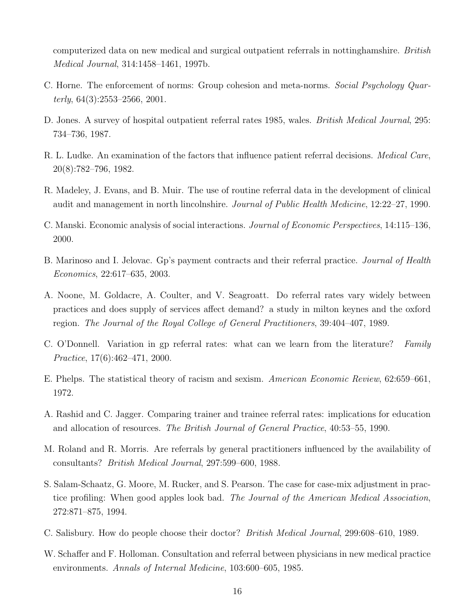computerized data on new medical and surgical outpatient referrals in nottinghamshire. British Medical Journal, 314:1458–1461, 1997b.

- C. Horne. The enforcement of norms: Group cohesion and meta-norms. Social Psychology Quarterly,  $64(3):2553-2566$ ,  $2001$ .
- D. Jones. A survey of hospital outpatient referral rates 1985, wales. *British Medical Journal*, 295: 734–736, 1987.
- R. L. Ludke. An examination of the factors that influence patient referral decisions. *Medical Care*, 20(8):782–796, 1982.
- R. Madeley, J. Evans, and B. Muir. The use of routine referral data in the development of clinical audit and management in north lincolnshire. Journal of Public Health Medicine, 12:22–27, 1990.
- C. Manski. Economic analysis of social interactions. Journal of Economic Perspectives, 14:115–136, 2000.
- B. Marinoso and I. Jelovac. Gp's payment contracts and their referral practice. *Journal of Health* Economics, 22:617–635, 2003.
- A. Noone, M. Goldacre, A. Coulter, and V. Seagroatt. Do referral rates vary widely between practices and does supply of services affect demand? a study in milton keynes and the oxford region. The Journal of the Royal College of General Practitioners, 39:404–407, 1989.
- C. O'Donnell. Variation in gp referral rates: what can we learn from the literature? Family Practice, 17(6):462–471, 2000.
- E. Phelps. The statistical theory of racism and sexism. American Economic Review, 62:659–661, 1972.
- A. Rashid and C. Jagger. Comparing trainer and trainee referral rates: implications for education and allocation of resources. The British Journal of General Practice, 40:53–55, 1990.
- M. Roland and R. Morris. Are referrals by general practitioners influenced by the availability of consultants? British Medical Journal, 297:599–600, 1988.
- S. Salam-Schaatz, G. Moore, M. Rucker, and S. Pearson. The case for case-mix adjustment in practice profiling: When good apples look bad. The Journal of the American Medical Association, 272:871–875, 1994.
- C. Salisbury. How do people choose their doctor? British Medical Journal, 299:608–610, 1989.
- W. Schaffer and F. Holloman. Consultation and referral between physicians in new medical practice environments. Annals of Internal Medicine, 103:600–605, 1985.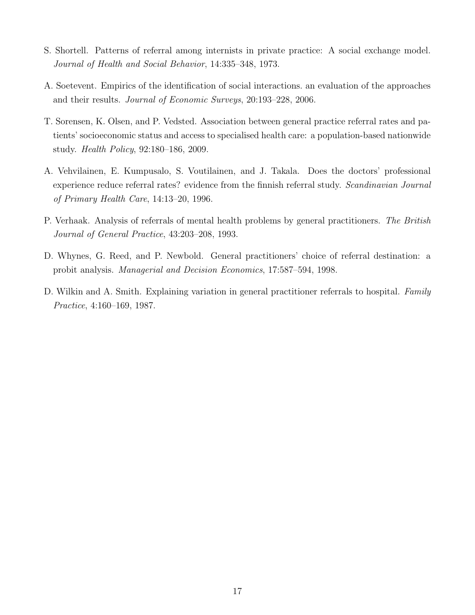- S. Shortell. Patterns of referral among internists in private practice: A social exchange model. Journal of Health and Social Behavior, 14:335–348, 1973.
- A. Soetevent. Empirics of the identification of social interactions. an evaluation of the approaches and their results. Journal of Economic Surveys, 20:193–228, 2006.
- T. Sorensen, K. Olsen, and P. Vedsted. Association between general practice referral rates and patients' socioeconomic status and access to specialised health care: a population-based nationwide study. Health Policy, 92:180–186, 2009.
- A. Vehvilainen, E. Kumpusalo, S. Voutilainen, and J. Takala. Does the doctors' professional experience reduce referral rates? evidence from the finnish referral study. Scandinavian Journal of Primary Health Care, 14:13–20, 1996.
- P. Verhaak. Analysis of referrals of mental health problems by general practitioners. The British Journal of General Practice, 43:203–208, 1993.
- D. Whynes, G. Reed, and P. Newbold. General practitioners' choice of referral destination: a probit analysis. Managerial and Decision Economics, 17:587–594, 1998.
- D. Wilkin and A. Smith. Explaining variation in general practitioner referrals to hospital. Family Practice, 4:160–169, 1987.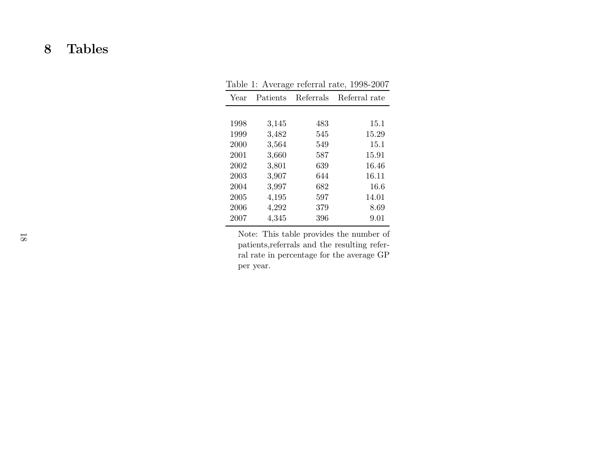# Tables

|      |          |           | Table 1: Average referral rate, 1998-2007 |
|------|----------|-----------|-------------------------------------------|
| Year | Patients | Referrals | Referral rate                             |
|      |          |           |                                           |
| 1998 | 3,145    | 483       | 15.1                                      |
| 1999 | 3,482    | 545       | 15.29                                     |
| 2000 | 3,564    | 549       | 15.1                                      |
| 2001 | 3,660    | 587       | 15.91                                     |
| 2002 | 3,801    | 639       | 16.46                                     |
| 2003 | 3,907    | 644       | 16.11                                     |
| 2004 | 3,997    | 682       | 16.6                                      |
| 2005 | 4,195    | 597       | 14.01                                     |
| 2006 | 4,292    | 379       | 8.69                                      |
| 2007 | 4,345    | 396       | 9.01                                      |
|      |          |           |                                           |

| Table 1: Average referral rate, 1998-2007 |  |  |  |  |  |
|-------------------------------------------|--|--|--|--|--|
|-------------------------------------------|--|--|--|--|--|

<span id="page-17-0"></span>Note: This table provides the number of patients,referrals and the resulting referral rate in percentage for the average GPper year.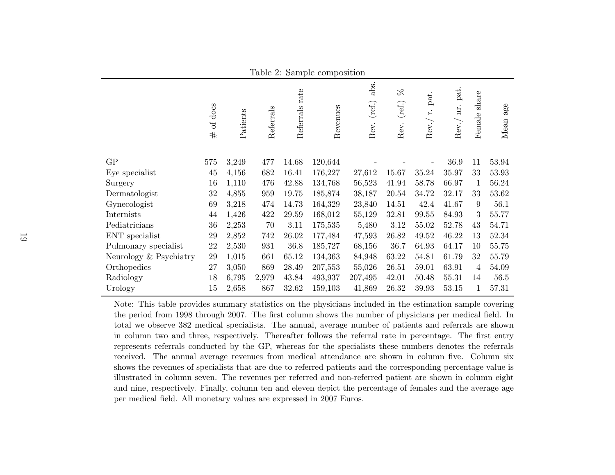| $10010$ $\mu$ . Sumple composition |              |          |           |                   |          |                        |                                   |                     |                      |                  |                                          |
|------------------------------------|--------------|----------|-----------|-------------------|----------|------------------------|-----------------------------------|---------------------|----------------------|------------------|------------------------------------------|
|                                    | of docs<br># | Patients | Referrals | rate<br>Referrals | Revenues | abs.<br>(ref.)<br>Rev. | $\beta_{\rm C}$<br>(ref.)<br>Rev. | pat.<br>Ë,<br>Rev./ | pat.<br>nr.<br>Rev./ | share<br>Female  | $\mathbf{a}\mathbf{g}\mathbf{e}$<br>Mean |
|                                    |              |          |           |                   |          |                        |                                   |                     |                      |                  |                                          |
| GP                                 | 575          | 3,249    | 477       | 14.68             | 120,644  |                        |                                   |                     | 36.9                 | 11               | 53.94                                    |
| Eye specialist                     | $45\,$       | 4,156    | 682       | 16.41             | 176,227  | 27,612                 | 15.67                             | 35.24               | 35.97                | 33               | 53.93                                    |
| Surgery                            | 16           | 1,110    | 476       | 42.88             | 134,768  | 56,523                 | 41.94                             | 58.78               | 66.97                | 1                | 56.24                                    |
| Dermatologist                      | $32\,$       | 4,855    | 959       | 19.75             | 185,874  | 38,187                 | 20.54                             | 34.72               | 32.17                | 33               | 53.62                                    |
| Gynecologist                       | 69           | 3,218    | 474       | 14.73             | 164,329  | 23,840                 | 14.51                             | 42.4                | 41.67                | $\boldsymbol{9}$ | 56.1                                     |
| Internists                         | 44           | 1,426    | 422       | 29.59             | 168,012  | 55,129                 | 32.81                             | 99.55               | 84.93                | 3                | 55.77                                    |
| Pediatricians                      | 36           | 2,253    | 70        | 3.11              | 175,535  | 5,480                  | 3.12                              | 55.02               | 52.78                | 43               | 54.71                                    |
| ENT specialist                     | $29\,$       | 2,852    | 742       | 26.02             | 177,484  | 47,593                 | 26.82                             | 49.52               | 46.22                | 13               | 52.34                                    |
| Pulmonary specialist               | 22           | 2,530    | 931       | 36.8              | 185,727  | 68,156                 | 36.7                              | 64.93               | 64.17                | 10               | 55.75                                    |
| Neurology & Psychiatry             | 29           | 1,015    | 661       | 65.12             | 134,363  | 84,948                 | 63.22                             | 54.81               | 61.79                | 32               | 55.79                                    |
| Orthopedics                        | 27           | 3,050    | 869       | 28.49             | 207,553  | 55,026                 | 26.51                             | 59.01               | 63.91                | 4                | 54.09                                    |
| Radiology                          | 18           | 6,795    | 2,979     | 43.84             | 493,937  | 207,495                | 42.01                             | 50.48               | 55.31                | 14               | 56.5                                     |
| Urology                            | 15           | 2,658    | 867       | 32.62             | 159,103  | 41,869                 | 26.32                             | 39.93               | 53.15                | $\mathbf{1}$     | 57.31                                    |

<span id="page-18-0"></span>Note: This table provides summary statistics on the physicians included in the estimation sample covering the period from 1998 through 2007. The first column shows the number of <sup>p</sup>hysicians per medical field. In total we observe 382 medical specialists. The annual, average number of patients and referrals are shown in column two and three, respectively. Thereafter follows the referral rate in percentage. The first entry represents referrals conducted by the GP, whereas for the specialists these numbers denotes the referrals received. The annual average revenues from medical attendance are shown in column five. Column six shows the revenues of specialists that are due to referred patients and the corresponding percentage value is illustrated in column seven. The revenues per referred and non-referred patient are shown in column eight and nine, respectively. Finally, column ten and eleven depict the percentage of females and the average ageper medical field. All monetary values are expressed in 2007 Euros.

Table 2: Sample composition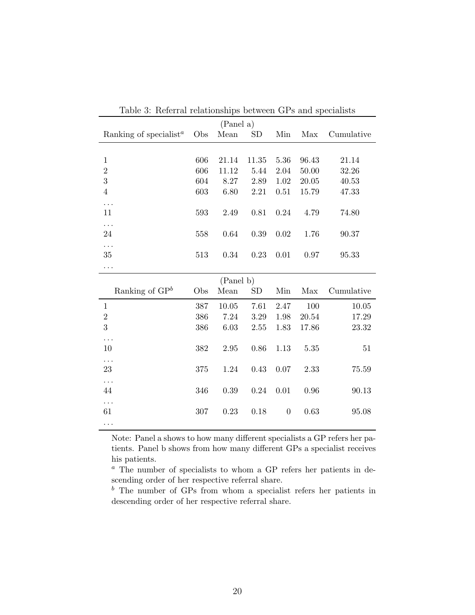<span id="page-19-0"></span>

|                                                 |     | (Panel a) |          |                  |           |            |
|-------------------------------------------------|-----|-----------|----------|------------------|-----------|------------|
| Ranking of specialist <sup><math>a</math></sup> | Obs | Mean      | SD       | Min              | Max       | Cumulative |
|                                                 |     |           |          |                  |           |            |
| $\mathbf{1}$                                    | 606 | 21.14     | 11.35    | 5.36             | 96.43     | 21.14      |
| $\overline{2}$                                  | 606 | 11.12     | 5.44     | 2.04             | $50.00\,$ | 32.26      |
| 3                                               | 604 | 8.27      | 2.89     | 1.02             | 20.05     | 40.53      |
| $\overline{4}$                                  | 603 | 6.80      | 2.21     | 0.51             | 15.79     | 47.33      |
| .                                               |     |           |          |                  |           |            |
| 11                                              | 593 | 2.49      | $0.81\,$ | 0.24             | 4.79      | 74.80      |
|                                                 |     |           |          |                  |           |            |
| 24                                              | 558 | 0.64      | 0.39     | $0.02\,$         | 1.76      | 90.37      |
| .                                               |     |           |          |                  |           |            |
| 35                                              | 513 | $0.34\,$  | $0.23\,$ | $0.01\,$         | 0.97      | 95.33      |
|                                                 |     |           |          |                  |           |            |
|                                                 |     | (Panel b) |          |                  |           |            |
|                                                 |     |           |          |                  |           |            |
| Ranking of $\mathbf{G}P^b$                      | Obs | Mean      | SD       | Min              | Max       | Cumulative |
| $\mathbf{1}$                                    | 387 | 10.05     | 7.61     | 2.47             | 100       | 10.05      |
| $\overline{2}$                                  | 386 | 7.24      | 3.29     | 1.98             | 20.54     | 17.29      |
| 3                                               | 386 | 6.03      | 2.55     | 1.83             | 17.86     | 23.32      |
| .                                               |     |           |          |                  |           |            |
| 10                                              | 382 | 2.95      | 0.86     | 1.13             | 5.35      | 51         |
| .                                               |     |           |          |                  |           |            |
| 23                                              | 375 | 1.24      | 0.43     | 0.07             | 2.33      | 75.59      |
| .                                               |     |           |          |                  |           |            |
| 44                                              | 346 | 0.39      | 0.24     | 0.01             | 0.96      | 90.13      |
| .                                               |     |           |          |                  |           |            |
| 61                                              | 307 | 0.23      | 0.18     | $\boldsymbol{0}$ | 0.63      | 95.08      |

Table 3: Referral relationships between GPs and specialists

Note: Panel a shows to how many different specialists a GP refers her patients. Panel b shows from how many different GPs a specialist receives his patients.

<sup>a</sup> The number of specialists to whom a GP refers her patients in descending order of her respective referral share.

 $\bar{b}$  The number of GPs from whom a specialist refers her patients in descending order of her respective referral share.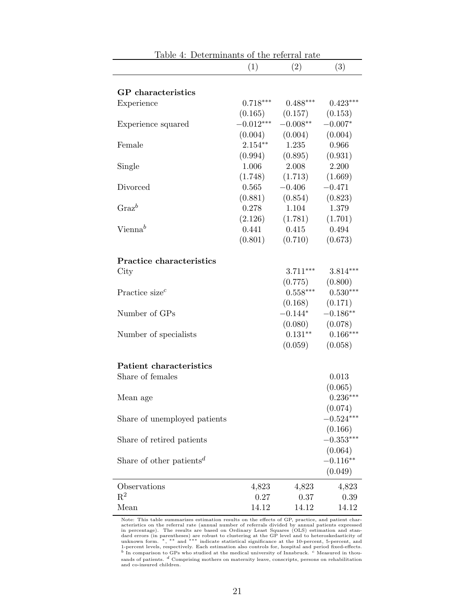<span id="page-20-0"></span>

| ranie<br>4.                             | beterminants or the referrar rate |            |             |
|-----------------------------------------|-----------------------------------|------------|-------------|
|                                         | (1)                               | (2)        | (3)         |
|                                         |                                   |            |             |
| <b>GP</b> characteristics               |                                   |            |             |
| Experience                              | $0.718***$                        | $0.488***$ | $0.423***$  |
|                                         | (0.165)                           | (0.157)    | (0.153)     |
| Experience squared                      | $-0.012***$                       | $-0.008**$ | $-0.007*$   |
|                                         | (0.004)                           | (0.004)    | (0.004)     |
| Female                                  | $2.154**$                         | 1.235      | 0.966       |
|                                         | (0.994)                           | (0.895)    | (0.931)     |
| Single                                  | 1.006                             | 2.008      | 2.200       |
|                                         | (1.748)                           | (1.713)    | (1.669)     |
| Divorced                                | 0.565                             | $-0.406$   | $-0.471$    |
|                                         | (0.881)                           | (0.854)    | (0.823)     |
| $\mathrm{Graz}^b$                       | 0.278                             | 1.104      | 1.379       |
|                                         | (2.126)                           | (1.781)    | (1.701)     |
| $Vienna^b$                              | 0.441                             | 0.415      | 0.494       |
|                                         | (0.801)                           | (0.710)    | (0.673)     |
|                                         |                                   |            |             |
| <b>Practice characteristics</b>         |                                   |            |             |
| City                                    |                                   | $3.711***$ | $3.814***$  |
|                                         |                                   | (0.775)    | (0.800)     |
| Practice size <sup><math>c</math></sup> |                                   | $0.558***$ | $0.530***$  |
|                                         |                                   | (0.168)    | (0.171)     |
| Number of GPs                           |                                   | $-0.144*$  | $-0.186**$  |
|                                         |                                   | (0.080)    | (0.078)     |
| Number of specialists                   |                                   | $0.131***$ | $0.166***$  |
|                                         |                                   | (0.059)    | (0.058)     |
|                                         |                                   |            |             |
| <b>Patient characteristics</b>          |                                   |            |             |
| Share of females                        |                                   |            | 0.013       |
|                                         |                                   |            | (0.065)     |
| Mean age                                |                                   |            | $0.236***$  |
|                                         |                                   |            | (0.074)     |
| Share of unemployed patients            |                                   |            | $-0.524***$ |
|                                         |                                   |            | (0.166)     |
| Share of retired patients               |                                   |            | $-0.353***$ |
|                                         |                                   |            | (0.064)     |
| Share of other patients <sup>d</sup>    |                                   |            | $-0.116**$  |
|                                         |                                   |            | (0.049)     |
|                                         |                                   |            |             |
| Observations                            | 4,823                             | 4,823      | 4,823       |
| $\mathrm{R}^2$                          | 0.27                              | 0.37       | 0.39        |
| Mean                                    | 14.12                             | 14.12      | 14.12       |

Table 4: Determinants of the referral rate

Note: This table summarizes estimation results on the effects of GP, practice, and patient characteristics on the referral rate (annual number of referrals divided by annual patients in percentage). The results are based sands of patients.  $d$  Comprising mothers on maternity leave, conscripts, persons on rehabilitation<br>and co-insured children.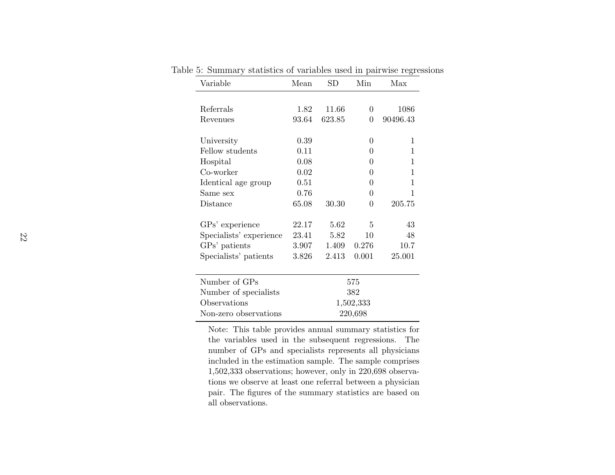| Variable                | Mean  | $_{\rm SD}$ | Min            | Max          |
|-------------------------|-------|-------------|----------------|--------------|
|                         |       |             |                |              |
| Referrals               | 1.82  | 11.66       | $\theta$       | 1086         |
| Revenues                | 93.64 | 623.85      | $\theta$       | 90496.43     |
| University              | 0.39  |             | 0              | 1            |
| Fellow students         | 0.11  |             | $\theta$       | 1            |
| Hospital                | 0.08  |             | $\overline{0}$ | 1            |
| Co-worker               | 0.02  |             | 0              | $\mathbf{1}$ |
| Identical age group     | 0.51  |             | 0              | 1            |
| Same sex                | 0.76  |             | 0              | 1            |
| Distance                | 65.08 | 30.30       | 0              | 205.75       |
| GPs' experience         | 22.17 | 5.62        | 5              | 43           |
| Specialists' experience | 23.41 | 5.82        | 10             | 48           |
| GPs' patients           | 3.907 | 1.409       | 0.276          | 10.7         |
| Specialists' patients   | 3.826 | 2.413       | 0.001          | 25.001       |
| Number of GPs           |       |             | 575            |              |
| Number of specialists   |       |             | 382            |              |
| Observations            |       |             | 1,502,333      |              |
| Non-zero observations   |       |             | 220,698        |              |

<span id="page-21-0"></span>Table 5: Summary statistics of variables used in pairwise regressions

Note: This table provides annual summary statistics for the variables used in the subsequent regressions. The number of GPs and specialists represents all <sup>p</sup>hysicians included in the estimation sample. The sample comprises 1,502,333 observations; however, only in 220,698 observations we observe at least one referral between <sup>a</sup> <sup>p</sup>hysician pair. The figures of the summary statistics are based onall observations.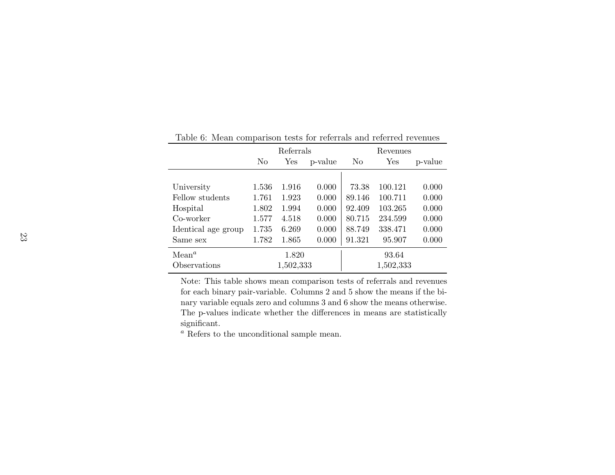|                     | Referrals                        |           |           | Revenues |           |       |  |
|---------------------|----------------------------------|-----------|-----------|----------|-----------|-------|--|
|                     | N <sub>0</sub><br>Yes<br>p-value |           | No<br>Yes |          | p-value   |       |  |
|                     |                                  |           |           |          |           |       |  |
| University          | 1.536                            | 1.916     | 0.000     | 73.38    | 100.121   | 0.000 |  |
| Fellow students     | 1.761                            | 1.923     | 0.000     | 89.146   | 100.711   | 0.000 |  |
| Hospital            | 1.802                            | 1.994     | 0.000     | 92.409   | 103.265   | 0.000 |  |
| Co-worker           | 1.577                            | 4.518     | 0.000     | 80.715   | 234.599   | 0.000 |  |
| Identical age group | 1.735                            | 6.269     | 0.000     | 88.749   | 338.471   | 0.000 |  |
| Same sex            | 1.782                            | 1.865     | 0.000     | 91.321   | 95.907    | 0.000 |  |
| Mean <sup>a</sup>   |                                  | 1.820     |           |          | 93.64     |       |  |
| Observations        |                                  | 1,502,333 |           |          | 1,502,333 |       |  |

<span id="page-22-0"></span>Table 6: Mean comparison tests for referrals and referred revenues

Note: This table shows mean comparison tests of referrals and revenues for each binary pair-variable. Columns 2 and 5 show the means if the binary variable equals zero and columns 3 and 6 show the means otherwise.The p-values indicate whether the differences in means are statisticallysignificant.

<sup>a</sup> Refers to the unconditional sample mean.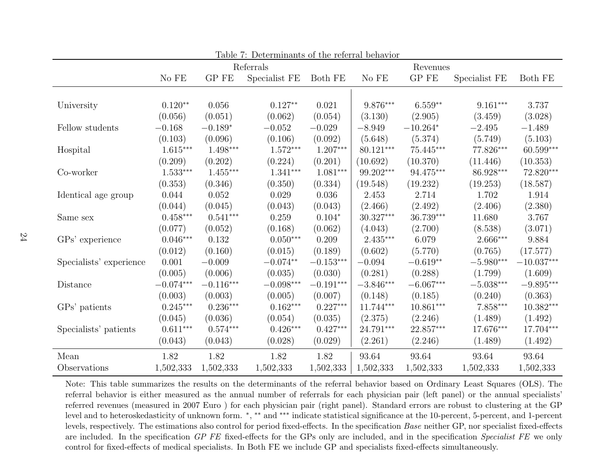| Table 7: Determinants of the referral behavior |                  |               |                         |                        |             |                         |                         |                         |  |
|------------------------------------------------|------------------|---------------|-------------------------|------------------------|-------------|-------------------------|-------------------------|-------------------------|--|
|                                                |                  |               | Referrals               |                        |             |                         |                         |                         |  |
|                                                | $\rm No\ FE$     | ${\rm GP}$ FE | Specialist FE           | Both FE                | No FE       | ${\rm GP}$ FE           | Specialist FE           | Both FE                 |  |
|                                                |                  |               |                         |                        |             |                         |                         |                         |  |
| University                                     | $0.120**$        | 0.056         | $0.127**$               | 0.021                  | 9.876***    | $6.559**$               | $9.161***$              | 3.737                   |  |
|                                                | (0.056)          | (0.051)       | (0.062)                 | (0.054)                | (3.130)     | (2.905)                 | (3.459)                 | (3.028)                 |  |
| Fellow students                                | $-0.168$         | $-0.189*$     | $-0.052$                | $-0.029$               | $-8.949$    | $-10.264*$              | $-2.495$                | $-1.489$                |  |
|                                                | (0.103)          | (0.096)       | (0.106)                 | (0.092)                | (5.648)     | (5.374)                 | (5.749)                 | (5.103)                 |  |
| Hospital                                       | $1.615***$       | $1.498***$    | $1.572***$              | $1.207***$             | $80.121***$ | $75.445***$             | 77.826***               | $60.599***$             |  |
|                                                | (0.209)          | (0.202)       | (0.224)                 | (0.201)                | (10.692)    | (10.370)                | (11.446)                | (10.353)                |  |
| Co-worker                                      | $1.533***$       | $1.455***$    | $1.341***$              | $1.081^{\ast\ast\ast}$ | 99.202***   | $94.475^{\ast\ast\ast}$ | 86.928***               | $72.820***$             |  |
|                                                | (0.353)          | (0.346)       | (0.350)                 | (0.334)                | (19.548)    | (19.232)                | (19.253)                | (18.587)                |  |
| Identical age group                            | 0.044            | 0.052         | 0.029                   | 0.036                  | 2.453       | 2.714                   | 1.702                   | 1.914                   |  |
|                                                | (0.044)          | (0.045)       | (0.043)                 | (0.043)                | (2.466)     | (2.492)                 | (2.406)                 | (2.380)                 |  |
| Same sex                                       | $0.458***$       | $0.541***$    | 0.259                   | $0.104*$               | 30.327***   | 36.739***               | 11.680                  | 3.767                   |  |
|                                                | (0.077)          | (0.052)       | (0.168)                 | (0.062)                | (4.043)     | (2.700)                 | (8.538)                 | (3.071)                 |  |
| GPs' experience                                | $0.046^{***}\,$  | 0.132         | $0.050***$              | 0.209                  | $2.435***$  | 6.079                   | $2.666***$              | 9.884                   |  |
|                                                | (0.012)          | (0.160)       | (0.015)                 | (0.189)                | (0.602)     | (5.770)                 | (0.765)                 | (17.577)                |  |
| Specialists' experience                        | 0.001            | $-0.009$      | $-0.074**$              | $-0.153\sp{***}$       | $-0.094$    | $-0.619**$              | $-5.980^{\ast\ast\ast}$ | $-10.037***$            |  |
|                                                | (0.005)          | (0.006)       | (0.035)                 | (0.030)                | (0.281)     | (0.288)                 | (1.799)                 | (1.609)                 |  |
| Distance                                       | $-0.074^{***}\,$ | $-0.116***$   | $-0.098^{\ast\ast\ast}$ | $-0.191***$            | $-3.846***$ | $-6.067***$             | $-5.038***$             | $-9.895^{\ast\ast\ast}$ |  |
|                                                | (0.003)          | (0.003)       | (0.005)                 | (0.007)                | (0.148)     | (0.185)                 | (0.240)                 | (0.363)                 |  |
| GPs' patients                                  | $0.245***$       | $0.236***$    | $0.162***$              | $0.227***$             | 11.744***   | $10.861***$             | $7.858***$              | $10.382***$             |  |
|                                                | (0.045)          | (0.036)       | (0.054)                 | (0.035)                | (2.375)     | (2.246)                 | (1.489)                 | (1.492)                 |  |
| Specialists' patients                          | $0.611***$       | $0.574***$    | $0.426***$              | $0.427***$             | 24.791***   | 22.857***               | 17.676***               | 17.704***               |  |
|                                                | (0.043)          | (0.043)       | (0.028)                 | (0.029)                | (2.261)     | (2.246)                 | (1.489)                 | (1.492)                 |  |
| Mean                                           | 1.82             | 1.82          | 1.82                    | 1.82                   | 93.64       | 93.64                   | 93.64                   | 93.64                   |  |
| Observations                                   | 1,502,333        | 1,502,333     | 1,502,333               | 1,502,333              | 1,502,333   | 1,502,333               | 1,502,333               | 1,502,333               |  |

<span id="page-23-0"></span>Note: This table summarizes the results on the determinants of the referral behavior based on Ordinary Least Squares (OLS). The referral behavior is either measured as the annual number of referrals for each <sup>p</sup>hysician pair (left panel) or the annual specialists' referred revenues (measured in <sup>2007</sup> Euro ) for each <sup>p</sup>hysician pair (right panel). Standard errors are robust to clustering at the GP level and to heteroskedasticity of unknown form. <sup>∗</sup>, ∗∗ and ∗∗∗ indicate statistical significance at the 10-percent, 5-percent, and 1-percent levels, respectively. The estimations also control for period fixed-effects. In the specification  $Base$  neither GP, nor specialist fixed-effects are included. In the specification  $GP$  FE fixed-effects for the GPs only are included, and in the specification Specialist FE we only control for fixed-effects of medical specialists. In Both FE we include GP and specialists fixed-effects simultaneously.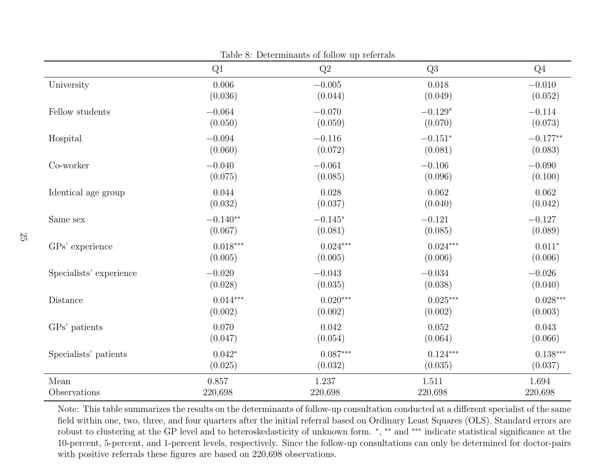|                         | Q1         | Q2         | Q3              | $Q_4$      |
|-------------------------|------------|------------|-----------------|------------|
| University              | 0.006      | $-0.005$   | 0.018           | $-0.010$   |
|                         | (0.036)    | (0.044)    | (0.049)         | (0.052)    |
| Fellow students         | $-0.064$   | $-0.070$   | $-0.129*$       | $-0.114$   |
|                         | (0.050)    | (0.059)    | (0.070)         | (0.073)    |
| Hospital                | $-0.094$   | $-0.116$   | $-0.151^{\ast}$ | $-0.177**$ |
|                         | (0.060)    | (0.072)    | (0.081)         | (0.083)    |
| Co-worker               | $-0.040$   | $-0.061$   | $-0.106\,$      | $-0.090$   |
|                         | (0.075)    | (0.085)    | (0.096)         | (0.100)    |
| Identical age group     | 0.044      | 0.028      | 0.062           | 0.062      |
|                         | (0.032)    | (0.037)    | (0.040)         | (0.042)    |
| Same sex                | $-0.140**$ | $-0.145*$  | $-0.121$        | $-0.127$   |
|                         | (0.067)    | (0.081)    | (0.085)         | (0.089)    |
| GPs' experience         | $0.018***$ | $0.024***$ | $0.024***$      | $0.011*$   |
|                         | (0.005)    | (0.005)    | (0.006)         | (0.006)    |
| Specialists' experience | $-0.020$   | $-0.043$   | $-0.034$        | $-0.026$   |
|                         | (0.028)    | (0.035)    | (0.038)         | (0.040)    |
| Distance                | $0.014***$ | $0.020***$ | $0.025***$      | $0.028***$ |
|                         | (0.002)    | (0.002)    | (0.002)         | (0.003)    |
| GPs' patients           | 0.070      | 0.042      | 0.052           | 0.043      |
|                         | (0.047)    | (0.054)    | (0.064)         | (0.066)    |
| Specialists' patients   | $0.042*$   | $0.087***$ | $0.124***$      | $0.138***$ |
|                         | (0.025)    | (0.032)    | (0.035)         | (0.037)    |
| Mean                    | 0.857      | $1.237\,$  | 1.511           | 1.694      |
| Observations            | 220,698    | 220,698    | 220,698         | 220,698    |

Table 8: Determinants of follow up referrals

<span id="page-24-0"></span>Note: This table summarizes the results on the determinants of follow-up consultation conducted at <sup>a</sup> different specialist of the same field within one, two, three, and four quarters after the initial referral based on Ordinary Least Squares (OLS). Standard errors are robust to clustering at the GP level and to heteroskedasticity of unknown form. <sup>∗</sup>, ∗∗ and ∗∗∗ indicate statistical significance at the 10-percent, 5-percent, and 1-percent levels, respectively. Since the follow-up consultations can only be determined for doctor-pairswith positive referrals these figures are based on 220,698 observations.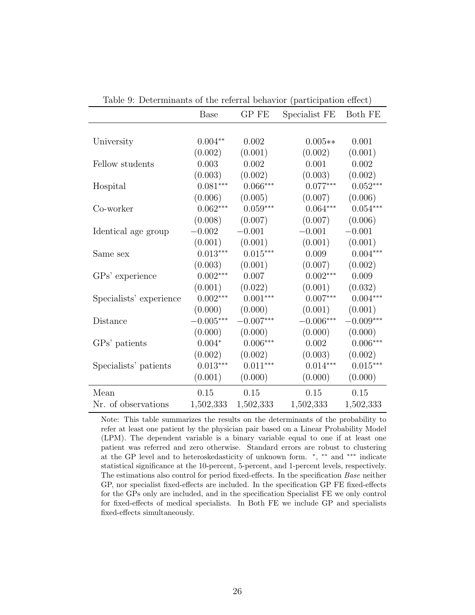<span id="page-25-0"></span>

|                         | <b>Base</b> | GP FE       | Specialist FE | Both FE     |
|-------------------------|-------------|-------------|---------------|-------------|
|                         |             |             |               |             |
| University              | $0.004**$   | 0.002       | $0.005**$     | 0.001       |
|                         | (0.002)     | (0.001)     | (0.002)       | (0.001)     |
| Fellow students         | 0.003       | 0.002       | 0.001         | 0.002       |
|                         | (0.003)     | (0.002)     | (0.003)       | (0.002)     |
| Hospital                | $0.081***$  | $0.066***$  | $0.077***$    | $0.052***$  |
|                         | (0.006)     | (0.005)     | (0.007)       | (0.006)     |
| Co-worker               | $0.062***$  | $0.059***$  | $0.064***$    | $0.054***$  |
|                         | (0.008)     | (0.007)     | (0.007)       | (0.006)     |
| Identical age group     | $-0.002$    | $-0.001$    | $-0.001$      | $-0.001$    |
|                         | (0.001)     | (0.001)     | (0.001)       | (0.001)     |
| Same sex                | $0.013***$  | $0.015***$  | 0.009         | $0.004***$  |
|                         | (0.003)     | (0.001)     | (0.007)       | (0.002)     |
| GPs' experience         | $0.002***$  | 0.007       | $0.002***$    | 0.009       |
|                         | (0.001)     | (0.022)     | (0.001)       | (0.032)     |
| Specialists' experience | $0.002***$  | $0.001***$  | $0.007***$    | $0.004***$  |
|                         | (0.000)     | (0.000)     | (0.001)       | (0.001)     |
| Distance                | $-0.005***$ | $-0.007***$ | $-0.006***$   | $-0.009***$ |
|                         | (0.000)     | (0.000)     | (0.000)       | (0.000)     |
| GPs' patients           | $0.004*$    | $0.006***$  | 0.002         | $0.006***$  |
|                         | (0.002)     | (0.002)     | (0.003)       | (0.002)     |
| Specialists' patients   | $0.013***$  | $0.011***$  | $0.014***$    | $0.015***$  |
|                         | (0.001)     | (0.000)     | (0.000)       | (0.000)     |
| Mean                    | 0.15        | 0.15        | 0.15          | 0.15        |
| Nr. of observations     | 1,502,333   | 1,502,333   | 1,502,333     | 1,502,333   |

Table 9: Determinants of the referral behavior (participation effect)

Note: This table summarizes the results on the determinants of the probability to refer at least one patient by the physician pair based on a Linear Probability Model (LPM). The dependent variable is a binary variable equal to one if at least one patient was referred and zero otherwise. Standard errors are robust to clustering at the GP level and to heteroskedasticity of unknown form.  $*$ ,  $**$  and  $***$  indicate statistical significance at the 10-percent, 5-percent, and 1-percent levels, respectively. The estimations also control for period fixed-effects. In the specification Base neither GP, nor specialist fixed-effects are included. In the specification GP FE fixed-effects for the GPs only are included, and in the specification Specialist FE we only control for fixed-effects of medical specialists. In Both FE we include GP and specialists fixed-effects simultaneously.